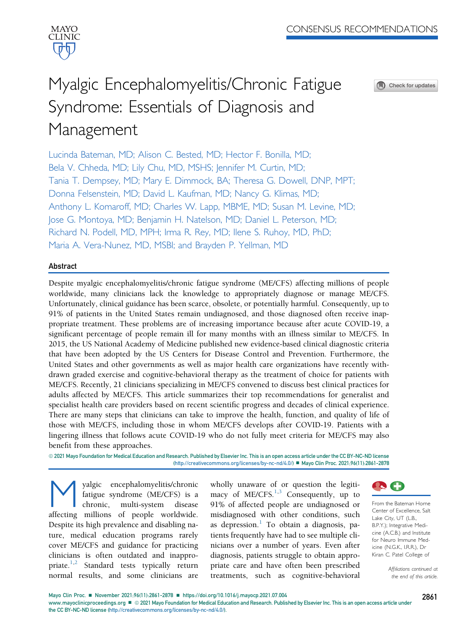

# Myalgic Encephalomyelitis/Chronic Fatigue Syndrome: Essentials of Diagnosis and Management



Lucinda Bateman, MD; Alison C. Bested, MD; Hector F. Bonilla, MD; Bela V. Chheda, MD; Lily Chu, MD, MSHS; Jennifer M. Curtin, MD; Tania T. Dempsey, MD; Mary E. Dimmock, BA; Theresa G. Dowell, DNP, MPT; Donna Felsenstein, MD; David L. Kaufman, MD; Nancy G. Klimas, MD; Anthony L. Komaroff, MD; Charles W. Lapp, MBME, MD; Susan M. Levine, MD; Jose G. Montoya, MD; Benjamin H. Natelson, MD; Daniel L. Peterson, MD; Richard N. Podell, MD, MPH; Irma R. Rey, MD; Ilene S. Ruhoy, MD, PhD; Maria A. Vera-Nunez, MD, MSBI; and Brayden P. Yellman, MD

# Abstract

Despite myalgic encephalomyelitis/chronic fatigue syndrome (ME/CFS) affecting millions of people worldwide, many clinicians lack the knowledge to appropriately diagnose or manage ME/CFS. Unfortunately, clinical guidance has been scarce, obsolete, or potentially harmful. Consequently, up to 91% of patients in the United States remain undiagnosed, and those diagnosed often receive inappropriate treatment. These problems are of increasing importance because after acute COVID-19, a significant percentage of people remain ill for many months with an illness similar to ME/CFS. In 2015, the US National Academy of Medicine published new evidence-based clinical diagnostic criteria that have been adopted by the US Centers for Disease Control and Prevention. Furthermore, the United States and other governments as well as major health care organizations have recently withdrawn graded exercise and cognitive-behavioral therapy as the treatment of choice for patients with ME/CFS. Recently, 21 clinicians specializing in ME/CFS convened to discuss best clinical practices for adults affected by ME/CFS. This article summarizes their top recommendations for generalist and specialist health care providers based on recent scientific progress and decades of clinical experience. There are many steps that clinicians can take to improve the health, function, and quality of life of those with ME/CFS, including those in whom ME/CFS develops after COVID-19. Patients with a lingering illness that follows acute COVID-19 who do not fully meet criteria for ME/CFS may also benefit from these approaches.

@ 2021 Mayo Foundation for Medical Education and Research. Published by Elsevier Inc. This is an open access article under the CC BY-NC-ND license (<http://creativecommons.org/licenses/by-nc-nd/4.0/>) ■ Mayo Clin Proc. 2021;96(11):2861-2878

yalgic encephalomyelitis/chronic<br>fatigue syndrome (ME/CFS) is a<br>chronic, multi-system disease fatigue syndrome (ME/CFS) is a multi-system affecting millions of people worldwide. Despite its high prevalence and disabling nature, medical education programs rarely cover ME/CFS and guidance for practicing clinicians is often outdated and inappro-priate.<sup>[1](#page-14-0)[,2](#page-14-1)</sup> Standard tests typically return normal results, and some clinicians are

wholly unaware of or question the legitimacy of  $ME/CFS.<sup>1,3</sup>$  $ME/CFS.<sup>1,3</sup>$  $ME/CFS.<sup>1,3</sup>$  $ME/CFS.<sup>1,3</sup>$  Consequently, up to 91% of affected people are undiagnosed or misdiagnosed with other conditions, such as depression.<sup>[1](#page-14-0)</sup> To obtain a diagnosis, patients frequently have had to see multiple clinicians over a number of years. Even after diagnosis, patients struggle to obtain appropriate care and have often been prescribed treatments, such as cognitive-behavioral



From the Bateman Horne Center of Excellence, Salt Lake City, UT (L.B., B.P.Y.); Integrative Medicine (A.C.B.) and Institute for Neuro Immune Medicine (N.G.K., I.R.R.), Dr Kiran C. Patel College of

> Affiliations continued at the end of this article.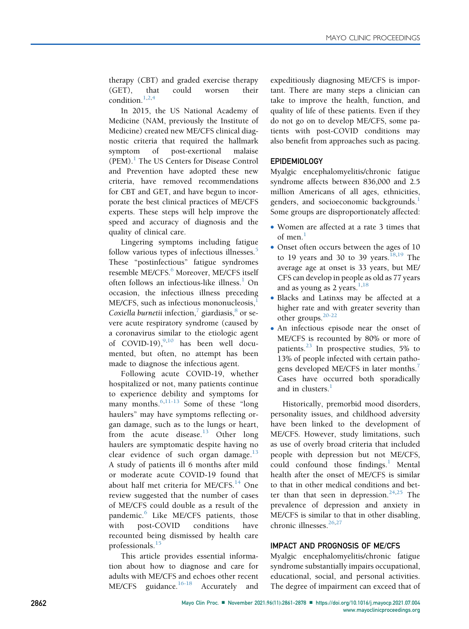therapy (CBT) and graded exercise therapy (GET), that could worsen their condition.[1](#page-14-0)[,2](#page-14-1),[4](#page-14-3)

In 2015, the US National Academy of Medicine (NAM, previously the Institute of Medicine) created new ME/CFS clinical diagnostic criteria that required the hallmark symptom of post-exertional malaise  $(PEM).<sup>1</sup>$  $(PEM).<sup>1</sup>$  $(PEM).<sup>1</sup>$  The US Centers for Disease Control and Prevention have adopted these new criteria, have removed recommendations for CBT and GET, and have begun to incorporate the best clinical practices of ME/CFS experts. These steps will help improve the speed and accuracy of diagnosis and the quality of clinical care.

Lingering symptoms including fatigue follow various types of infectious illnesses.<sup>[5](#page-14-4)</sup> These "postinfectious" fatigue syndromes resemble ME/CFS.<sup>[6](#page-14-5)</sup> Moreover, ME/CFS itself often follows an infectious-like illness.<sup>[1](#page-14-0)</sup> On occasion, the infectious illness preceding ME/CFS, such as infectious mononucleosis, Coxiella burnetii infection, $\frac{7}{7}$  $\frac{7}{7}$  $\frac{7}{7}$  giardiasis, $\frac{8}{7}$  $\frac{8}{7}$  $\frac{8}{7}$  or severe acute respiratory syndrome (caused by a coronavirus similar to the etiologic agent of COVID-19), $^{9,10}$  $^{9,10}$  $^{9,10}$  $^{9,10}$  has been well documented, but often, no attempt has been made to diagnose the infectious agent.

Following acute COVID-19, whether hospitalized or not, many patients continue to experience debility and symptoms for many months. $6,11-13$  $6,11-13$  Some of these "long haulers" may have symptoms reflecting organ damage, such as to the lungs or heart, from the acute disease.<sup>[13](#page-14-11)</sup> Other long haulers are symptomatic despite having no clear evidence of such organ damage. $^{13}$  $^{13}$  $^{13}$ A study of patients ill 6 months after mild or moderate acute COVID-19 found that about half met criteria for ME/CFS.<sup>[14](#page-14-12)</sup> One review suggested that the number of cases of ME/CFS could double as a result of the pandemic.<sup>[6](#page-14-5)</sup> Like ME/CFS patients, those with post-COVID conditions have recounted being dismissed by health care professionals.<sup>[15](#page-14-13)</sup>

This article provides essential information about how to diagnose and care for adults with ME/CFS and echoes other recent ME/CFS guidance.<sup>[16-18](#page-14-14)</sup> Accurately and

expeditiously diagnosing ME/CFS is important. There are many steps a clinician can take to improve the health, function, and quality of life of these patients. Even if they do not go on to develop ME/CFS, some patients with post-COVID conditions may also benefit from approaches such as pacing.

# EPIDEMIOLOGY

Myalgic encephalomyelitis/chronic fatigue syndrome affects between 836,000 and 2.5 million Americans of all ages, ethnicities, genders, and socioeconomic backgrounds.<sup>[1](#page-14-0)</sup> Some groups are disproportionately affected:

- Women are affected at a rate 3 times that of men.<sup>[1](#page-14-0)</sup>
- Onset often occurs between the ages of 10 to 19 years and 30 to 39 years.<sup>[18](#page-14-15)[,19](#page-14-16)</sup> The average age at onset is 33 years, but ME/ CFS can develop in people as old as 77 years and as young as 2 years. $1,18$  $1,18$
- <sup>d</sup> Blacks and Latinxs may be affected at a higher rate and with greater severity than other groups. $20-22$
- An infectious episode near the onset of ME/CFS is recounted by 80% or more of patients.<sup>[23](#page-15-1)</sup> In prospective studies, 5% to 13% of people infected with certain patho-gens developed ME/CFS in later months.<sup>[7](#page-14-6)</sup> Cases have occurred both sporadically and in clusters. $<sup>1</sup>$  $<sup>1</sup>$  $<sup>1</sup>$ </sup>

Historically, premorbid mood disorders, personality issues, and childhood adversity have been linked to the development of ME/CFS. However, study limitations, such as use of overly broad criteria that included people with depression but not ME/CFS, could confound those findings. $<sup>1</sup>$  $<sup>1</sup>$  $<sup>1</sup>$  Mental</sup> health after the onset of ME/CFS is similar to that in other medical conditions and bet-ter than that seen in depression.<sup>[24](#page-15-2)[,25](#page-15-3)</sup> The prevalence of depression and anxiety in ME/CFS is similar to that in other disabling, chronic illnesses. $26,27$  $26,27$ 

# IMPACT AND PROGNOSIS OF ME/CFS

Myalgic encephalomyelitis/chronic fatigue syndrome substantially impairs occupational, educational, social, and personal activities. The degree of impairment can exceed that of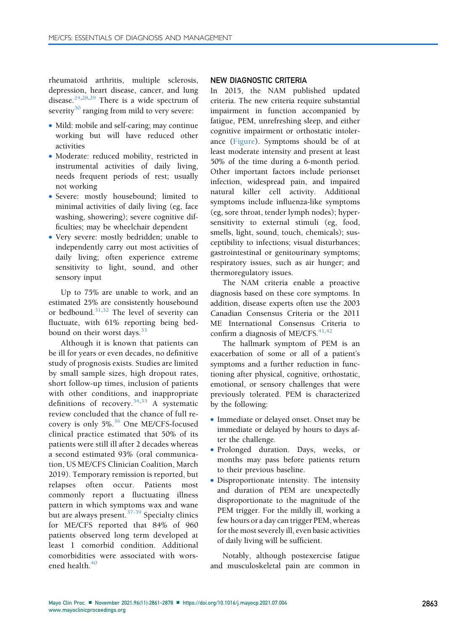rheumatoid arthritis, multiple sclerosis, depression, heart disease, cancer, and lung disease.<sup>[24,](#page-15-2)[28](#page-15-6)[,29](#page-15-7)</sup> There is a wide spectrum of severity<sup>[30](#page-15-8)</sup> ranging from mild to very severe:

- Mild: mobile and self-caring; may continue working but will have reduced other activities
- Moderate: reduced mobility, restricted in instrumental activities of daily living, needs frequent periods of rest; usually not working
- Severe: mostly housebound; limited to minimal activities of daily living (eg, face washing, showering); severe cognitive difficulties; may be wheelchair dependent
- Very severe: mostly bedridden; unable to independently carry out most activities of daily living; often experience extreme sensitivity to light, sound, and other sensory input

Up to 75% are unable to work, and an estimated 25% are consistently housebound or bedbound.<sup>[31](#page-15-9)[,32](#page-15-10)</sup> The level of severity can fluctuate, with 61% reporting being bedbound on their worst days.  $33$ 

Although it is known that patients can be ill for years or even decades, no definitive study of prognosis exists. Studies are limited by small sample sizes, high dropout rates, short follow-up times, inclusion of patients with other conditions, and inappropriate definitions of recovery.<sup>[34](#page-15-12)[,35](#page-15-13)</sup> A systematic review concluded that the chance of full re-covery is only 5%.<sup>[36](#page-15-14)</sup> One ME/CFS-focused clinical practice estimated that 50% of its patients were still ill after 2 decades whereas a second estimated 93% (oral communication, US ME/CFS Clinician Coalition, March 2019). Temporary remission is reported, but relapses often occur. Patients most commonly report a fluctuating illness pattern in which symptoms wax and wane but are always present.  $37-39$  Specialty clinics for ME/CFS reported that 84% of 960 patients observed long term developed at least 1 comorbid condition. Additional comorbidities were associated with worsened health. $40$ 

#### NEW DIAGNOSTIC CRITERIA

In 2015, the NAM published updated criteria. The new criteria require substantial impairment in function accompanied by fatigue, PEM, unrefreshing sleep, and either cognitive impairment or orthostatic intolerance [\(Figure](#page-3-0)). Symptoms should be of at least moderate intensity and present at least 50% of the time during a 6-month period. Other important factors include perionset infection, widespread pain, and impaired natural killer cell activity. Additional symptoms include influenza-like symptoms (eg, sore throat, tender lymph nodes); hypersensitivity to external stimuli (eg, food, smells, light, sound, touch, chemicals); susceptibility to infections; visual disturbances; gastrointestinal or genitourinary symptoms; respiratory issues, such as air hunger; and thermoregulatory issues.

The NAM criteria enable a proactive diagnosis based on these core symptoms. In addition, disease experts often use the 2003 Canadian Consensus Criteria or the 2011 ME International Consensus Criteria to confirm a diagnosis of ME/CFS. $41,42$  $41,42$ 

The hallmark symptom of PEM is an exacerbation of some or all of a patient's symptoms and a further reduction in functioning after physical, cognitive, orthostatic, emotional, or sensory challenges that were previously tolerated. PEM is characterized by the following:

- Immediate or delayed onset. Onset may be immediate or delayed by hours to days after the challenge.
- <sup>d</sup> Prolonged duration. Days, weeks, or months may pass before patients return to their previous baseline.
- Disproportionate intensity. The intensity and duration of PEM are unexpectedly disproportionate to the magnitude of the PEM trigger. For the mildly ill, working a few hours or a day can trigger PEM, whereas for the most severely ill, even basic activities of daily living will be sufficient.

Notably, although postexercise fatigue and musculoskeletal pain are common in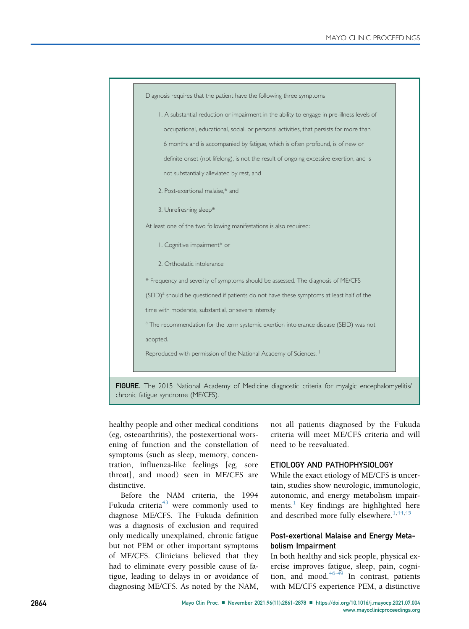<span id="page-3-0"></span>

healthy people and other medical conditions (eg, osteoarthritis), the postexertional worsening of function and the constellation of symptoms (such as sleep, memory, concentration, influenza-like feelings [eg, sore throat], and mood) seen in ME/CFS are distinctive.

Before the NAM criteria, the 1994 Fukuda criteria<sup>[43](#page-15-19)</sup> were commonly used to diagnose ME/CFS. The Fukuda definition was a diagnosis of exclusion and required only medically unexplained, chronic fatigue but not PEM or other important symptoms of ME/CFS. Clinicians believed that they had to eliminate every possible cause of fatigue, leading to delays in or avoidance of diagnosing ME/CFS. As noted by the NAM, not all patients diagnosed by the Fukuda criteria will meet ME/CFS criteria and will need to be reevaluated.

# ETIOLOGY AND PATHOPHYSIOLOGY

While the exact etiology of ME/CFS is uncertain, studies show neurologic, immunologic, autonomic, and energy metabolism impair-ments.<sup>[1](#page-14-0)</sup> Key findings are highlighted here and described more fully elsewhere.<sup>[1](#page-14-0)[,44,](#page-15-20)[45](#page-15-21)</sup>

# Post-exertional Malaise and Energy Metabolism Impairment

In both healthy and sick people, physical exercise improves fatigue, sleep, pain, cogni-tion, and mood.<sup>[46-49](#page-15-22)</sup> In contrast, patients with ME/CFS experience PEM, a distinctive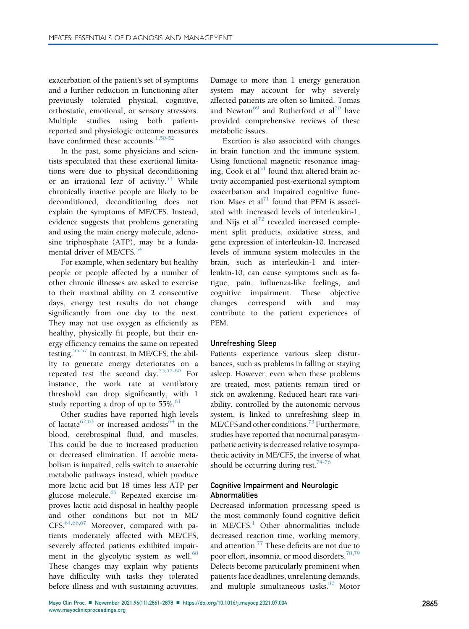exacerbation of the patient's set of symptoms and a further reduction in functioning after previously tolerated physical, cognitive, orthostatic, emotional, or sensory stressors. Multiple studies using both patientreported and physiologic outcome measures have confirmed these accounts. $1,50-52$  $1,50-52$ 

In the past, some physicians and scientists speculated that these exertional limitations were due to physical deconditioning or an irrational fear of activity.<sup>[53](#page-15-24)</sup> While chronically inactive people are likely to be deconditioned, deconditioning does not explain the symptoms of ME/CFS. Instead, evidence suggests that problems generating and using the main energy molecule, adenosine triphosphate (ATP), may be a funda-mental driver of ME/CFS<sup>[54](#page-15-25)</sup>

For example, when sedentary but healthy people or people affected by a number of other chronic illnesses are asked to exercise to their maximal ability on 2 consecutive days, energy test results do not change significantly from one day to the next. They may not use oxygen as efficiently as healthy, physically fit people, but their energy efficiency remains the same on repeated testing.[55-57](#page-15-26) In contrast, in ME/CFS, the ability to generate energy deteriorates on a repeated test the second day.[55,](#page-15-26)[57-60](#page-16-0) For instance, the work rate at ventilatory threshold can drop significantly, with 1 study reporting a drop of up to  $55\%$ .<sup>[61](#page-16-1)</sup>

Other studies have reported high levels of lactate<sup>[62,](#page-16-2)[63](#page-16-3)</sup> or increased acidosis<sup>[64](#page-16-4)</sup> in the blood, cerebrospinal fluid, and muscles. This could be due to increased production or decreased elimination. If aerobic metabolism is impaired, cells switch to anaerobic metabolic pathways instead, which produce more lactic acid but 18 times less ATP per glucose molecule.[65](#page-16-5) Repeated exercise improves lactic acid disposal in healthy people and other conditions but not in ME/ CFS.<sup>[64](#page-16-4),[66,](#page-16-6)[67](#page-16-7)</sup> Moreover, compared with patients moderately affected with ME/CFS, severely affected patients exhibited impairment in the glycolytic system as well. $68$ These changes may explain why patients have difficulty with tasks they tolerated before illness and with sustaining activities.

Damage to more than 1 energy generation system may account for why severely affected patients are often so limited. Tomas and Newton<sup>[69](#page-16-9)</sup> and Rutherford et al<sup>[70](#page-16-10)</sup> have provided comprehensive reviews of these metabolic issues.

Exertion is also associated with changes in brain function and the immune system. Using functional magnetic resonance imag-ing, Cook et al<sup>[51](#page-15-27)</sup> found that altered brain activity accompanied post-exertional symptom exacerbation and impaired cognitive func-tion. Maes et al<sup>[71](#page-16-11)</sup> found that PEM is associated with increased levels of interleukin-1, and Nijs et al $^{72}$  $^{72}$  $^{72}$  revealed increased complement split products, oxidative stress, and gene expression of interleukin-10. Increased levels of immune system molecules in the brain, such as interleukin-1 and interleukin-10, can cause symptoms such as fatigue, pain, influenza-like feelings, and cognitive impairment. These objective changes correspond with and may contribute to the patient experiences of PEM.

#### Unrefreshing Sleep

Patients experience various sleep disturbances, such as problems in falling or staying asleep. However, even when these problems are treated, most patients remain tired or sick on awakening. Reduced heart rate variability, controlled by the autonomic nervous system, is linked to unrefreshing sleep in ME/CFS and other conditions.<sup>[73](#page-16-13)</sup> Furthermore, studies have reported that nocturnal parasympathetic activity is decreased relative to sympathetic activity in ME/CFS, the inverse of what should be occurring during rest.<sup>74-76</sup>

## Cognitive Impairment and Neurologic Abnormalities

Decreased information processing speed is the most commonly found cognitive deficit in  $ME/CFS<sup>1</sup>$  $ME/CFS<sup>1</sup>$  $ME/CFS<sup>1</sup>$  Other abnormalities include decreased reaction time, working memory, and attention.<sup>[77](#page-16-15)</sup> These deficits are not due to poor effort, insomnia, or mood disorders.<sup>[78,](#page-16-16)[79](#page-16-17)</sup> Defects become particularly prominent when patients face deadlines, unrelenting demands, and multiple simultaneous tasks.<sup>[80](#page-16-18)</sup> Motor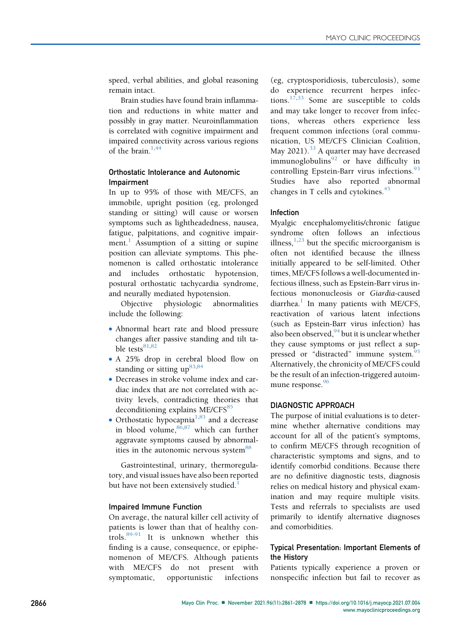speed, verbal abilities, and global reasoning remain intact.

Brain studies have found brain inflammation and reductions in white matter and possibly in gray matter. Neuroinflammation is correlated with cognitive impairment and impaired connectivity across various regions of the brain. $1,44$  $1,44$ 

# Orthostatic Intolerance and Autonomic Impairment

In up to 95% of those with ME/CFS, an immobile, upright position (eg, prolonged standing or sitting) will cause or worsen symptoms such as lightheadedness, nausea, fatigue, palpitations, and cognitive impair-ment.<sup>[1](#page-14-0)</sup> Assumption of a sitting or supine position can alleviate symptoms. This phenomenon is called orthostatic intolerance and includes orthostatic hypotension, postural orthostatic tachycardia syndrome, and neurally mediated hypotension.

Objective physiologic abnormalities include the following:

- Abnormal heart rate and blood pressure changes after passive standing and tilt table tests $81,82$  $81,82$
- A 25% drop in cerebral blood flow on standing or sitting  $up^{83,84}$  $up^{83,84}$  $up^{83,84}$  $up^{83,84}$
- Decreases in stroke volume index and cardiac index that are not correlated with activity levels, contradicting theories that deconditioning explains ME/CFS<sup>[85](#page-16-23)</sup>
- Orthostatic hypocapnia<sup>1,[83](#page-16-21)</sup> and a decrease in blood volume,  $86,87$  $86,87$  which can further aggravate symptoms caused by abnormal-ities in the autonomic nervous system<sup>[88](#page-16-26)</sup>

Gastrointestinal, urinary, thermoregulatory, and visual issues have also been reported but have not been extensively studied.<sup>[1](#page-14-0)</sup>

# Impaired Immune Function

On average, the natural killer cell activity of patients is lower than that of healthy controls.[89-91](#page-16-27) It is unknown whether this finding is a cause, consequence, or epiphenomenon of ME/CFS. Although patients with ME/CFS do not present with symptomatic, opportunistic infections (eg, cryptosporidiosis, tuberculosis), some do experience recurrent herpes infec-tions.<sup>[17,](#page-14-17)[33](#page-15-11)</sup> Some are susceptible to colds and may take longer to recover from infections, whereas others experience less frequent common infections (oral communication, US ME/CFS Clinician Coalition, May 2021).<sup>[33](#page-15-11)</sup> A quarter may have decreased immunoglobulins $92$  or have difficulty in controlling Epstein-Barr virus infections.<sup>[93](#page-16-29)</sup> Studies have also reported abnormal changes in T cells and cytokines. $45$ 

## Infection

Myalgic encephalomyelitis/chronic fatigue syndrome often follows an infectious illness,  $1,23$  $1,23$  but the specific microorganism is often not identified because the illness initially appeared to be self-limited. Other times, ME/CFS follows a well-documented infectious illness, such as Epstein-Barr virus infectious mononucleosis or Giardia-caused  $diarchea<sup>1</sup>$  $diarchea<sup>1</sup>$  $diarchea<sup>1</sup>$  In many patients with ME/CFS, reactivation of various latent infections (such as Epstein-Barr virus infection) has also been observed,  $94$  but it is unclear whether they cause symptoms or just reflect a sup-pressed or "distracted" immune system.<sup>[95](#page-17-1)</sup> Alternatively, the chronicity of ME/CFS could be the result of an infection-triggered autoim-mune response.<sup>[96](#page-17-2)</sup>

# DIAGNOSTIC APPROACH

The purpose of initial evaluations is to determine whether alternative conditions may account for all of the patient's symptoms, to confirm ME/CFS through recognition of characteristic symptoms and signs, and to identify comorbid conditions. Because there are no definitive diagnostic tests, diagnosis relies on medical history and physical examination and may require multiple visits. Tests and referrals to specialists are used primarily to identify alternative diagnoses and comorbidities.

# Typical Presentation: Important Elements of the History

Patients typically experience a proven or nonspecific infection but fail to recover as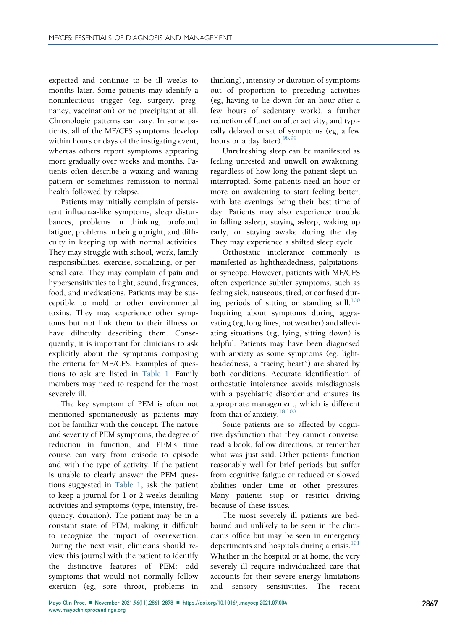expected and continue to be ill weeks to months later. Some patients may identify a noninfectious trigger (eg, surgery, pregnancy, vaccination) or no precipitant at all. Chronologic patterns can vary. In some patients, all of the ME/CFS symptoms develop within hours or days of the instigating event, whereas others report symptoms appearing more gradually over weeks and months. Patients often describe a waxing and waning pattern or sometimes remission to normal health followed by relapse.

Patients may initially complain of persistent influenza-like symptoms, sleep disturbances, problems in thinking, profound fatigue, problems in being upright, and difficulty in keeping up with normal activities. They may struggle with school, work, family responsibilities, exercise, socializing, or personal care. They may complain of pain and hypersensitivities to light, sound, fragrances, food, and medications. Patients may be susceptible to mold or other environmental toxins. They may experience other symptoms but not link them to their illness or have difficulty describing them. Consequently, it is important for clinicians to ask explicitly about the symptoms composing the criteria for ME/CFS. Examples of questions to ask are listed in [Table 1.](#page-7-0) Family members may need to respond for the most severely ill.

The key symptom of PEM is often not mentioned spontaneously as patients may not be familiar with the concept. The nature and severity of PEM symptoms, the degree of reduction in function, and PEM's time course can vary from episode to episode and with the type of activity. If the patient is unable to clearly answer the PEM questions suggested in [Table 1](#page-7-0), ask the patient to keep a journal for 1 or 2 weeks detailing activities and symptoms (type, intensity, frequency, duration). The patient may be in a constant state of PEM, making it difficult to recognize the impact of overexertion. During the next visit, clinicians should review this journal with the patient to identify the distinctive features of PEM: odd symptoms that would not normally follow exertion (eg, sore throat, problems in

thinking), intensity or duration of symptoms out of proportion to preceding activities (eg, having to lie down for an hour after a few hours of sedentary work), a further reduction of function after activity, and typically delayed onset of symptoms (eg, a few hours or a day later).  $98,99$  $98,99$  $98,99$ 

Unrefreshing sleep can be manifested as feeling unrested and unwell on awakening, regardless of how long the patient slept uninterrupted. Some patients need an hour or more on awakening to start feeling better, with late evenings being their best time of day. Patients may also experience trouble in falling asleep, staying asleep, waking up early, or staying awake during the day. They may experience a shifted sleep cycle.

Orthostatic intolerance commonly is manifested as lightheadedness, palpitations, or syncope. However, patients with ME/CFS often experience subtler symptoms, such as feeling sick, nauseous, tired, or confused during periods of sitting or standing still. $100$ Inquiring about symptoms during aggravating (eg, long lines, hot weather) and alleviating situations (eg, lying, sitting down) is helpful. Patients may have been diagnosed with anxiety as some symptoms (eg, lightheadedness, a "racing heart") are shared by both conditions. Accurate identification of orthostatic intolerance avoids misdiagnosis with a psychiatric disorder and ensures its appropriate management, which is different from that of anxiety.<sup>[18](#page-14-15)[,100](#page-17-5)</sup>

Some patients are so affected by cognitive dysfunction that they cannot converse, read a book, follow directions, or remember what was just said. Other patients function reasonably well for brief periods but suffer from cognitive fatigue or reduced or slowed abilities under time or other pressures. Many patients stop or restrict driving because of these issues.

The most severely ill patients are bedbound and unlikely to be seen in the clinician's office but may be seen in emergency departments and hospitals during a crisis.<sup>[101](#page-17-6)</sup> Whether in the hospital or at home, the very severely ill require individualized care that accounts for their severe energy limitations and sensory sensitivities. The recent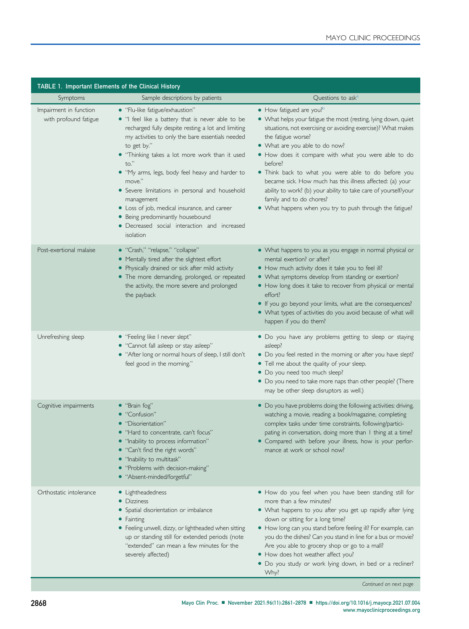<span id="page-7-0"></span>

| TABLE 1. Important Elements of the Clinical History |                                                                                                                                                                                                                                                                                                                                                                                                                                                                                                                                                       |                                                                                                                                                                                                                                                                                                                                                                                                                                                                                                                                                                                 |  |  |
|-----------------------------------------------------|-------------------------------------------------------------------------------------------------------------------------------------------------------------------------------------------------------------------------------------------------------------------------------------------------------------------------------------------------------------------------------------------------------------------------------------------------------------------------------------------------------------------------------------------------------|---------------------------------------------------------------------------------------------------------------------------------------------------------------------------------------------------------------------------------------------------------------------------------------------------------------------------------------------------------------------------------------------------------------------------------------------------------------------------------------------------------------------------------------------------------------------------------|--|--|
| Symptoms                                            | Sample descriptions by patients                                                                                                                                                                                                                                                                                                                                                                                                                                                                                                                       | Questions to ask <sup>4</sup>                                                                                                                                                                                                                                                                                                                                                                                                                                                                                                                                                   |  |  |
| Impairment in function<br>with profound fatigue     | • "Flu-like fatigue/exhaustion"<br>. "I feel like a battery that is never able to be<br>recharged fully despite resting a lot and limiting<br>my activities to only the bare essentials needed<br>to get by."<br>• "Thinking takes a lot more work than it used<br>to."<br>. "My arms, legs, body feel heavy and harder to<br>move."<br>• Severe limitations in personal and household<br>management<br>• Loss of job, medical insurance, and career<br>• Being predominantly housebound<br>• Decreased social interaction and increased<br>isolation | • How fatigued are you? <sup>b</sup><br>• What helps your fatigue the most (resting, lying down, quiet<br>situations, not exercising or avoiding exercise)? What makes<br>the fatigue worse?<br>• What are you able to do now?<br>. How does it compare with what you were able to do<br>before?<br>. Think back to what you were able to do before you<br>became sick. How much has this illness affected: (a) your<br>ability to work? (b) your ability to take care of yourself/your<br>family and to do chores?<br>• What happens when you try to push through the fatigue? |  |  |
| Post-exertional malaise                             | • "Crash," "relapse," "collapse"<br>• Mentally tired after the slightest effort<br>• Physically drained or sick after mild activity<br>• The more demanding, prolonged, or repeated<br>the activity, the more severe and prolonged<br>the payback                                                                                                                                                                                                                                                                                                     | • What happens to you as you engage in normal physical or<br>mental exertion? or after?<br>. How much activity does it take you to feel ill?<br>• What symptoms develop from standing or exertion?<br>• How long does it take to recover from physical or mental<br>effort?<br>• If you go beyond your limits, what are the consequences?<br>• What types of activities do you avoid because of what will<br>happen if you do them?                                                                                                                                             |  |  |
| Unrefreshing sleep                                  | • "Feeling like I never slept"<br>• "Cannot fall asleep or stay asleep"<br>• "After long or normal hours of sleep, I still don't<br>feel good in the morning."                                                                                                                                                                                                                                                                                                                                                                                        | • Do you have any problems getting to sleep or staying<br>asleep?<br>• Do you feel rested in the morning or after you have slept?<br>• Tell me about the quality of your sleep.<br>• Do you need too much sleep?<br>• Do you need to take more naps than other people? (There<br>may be other sleep disruptors as well.)                                                                                                                                                                                                                                                        |  |  |
| Cognitive impairments                               | · "Brain fog"<br>• "Confusion"<br>• "Disorientation"<br>• "Hard to concentrate, can't focus"<br>· "Inability to process information"<br>"Can't find the right words"<br>• "Inability to multitask"<br>• "Problems with decision-making"<br>• "Absent-minded/forgetful"                                                                                                                                                                                                                                                                                | • Do you have problems doing the following activities: driving,<br>watching a movie, reading a book/magazine, completing<br>complex tasks under time constraints, following/partici-<br>pating in conversation, doing more than I thing at a time?<br>• Compared with before your illness, how is your perfor-<br>mance at work or school now?                                                                                                                                                                                                                                  |  |  |
| Orthostatic intolerance                             | • Lightheadedness<br>• Dizziness<br>• Spatial disorientation or imbalance<br>• Fainting<br>• Feeling unwell, dizzy, or lightheaded when sitting<br>up or standing still for extended periods (note<br>"extended" can mean a few minutes for the<br>severely affected)                                                                                                                                                                                                                                                                                 | • How do you feel when you have been standing still for<br>more than a few minutes?<br>• What happens to you after you get up rapidly after lying<br>down or sitting for a long time?<br>• How long can you stand before feeling ill? For example, can<br>you do the dishes? Can you stand in line for a bus or movie?<br>Are you able to grocery shop or go to a mall?<br>• How does hot weather affect you?<br>· Do you study or work lying down, in bed or a recliner?<br>Why?                                                                                               |  |  |

Continued on next page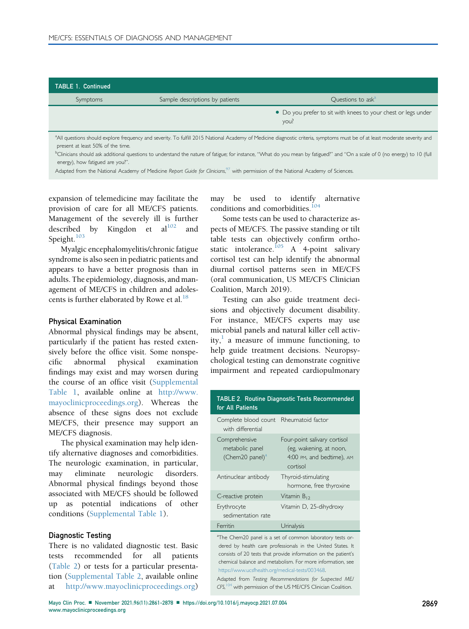| <b>TABLE 1. Continued</b> |                                 |                                                                       |
|---------------------------|---------------------------------|-----------------------------------------------------------------------|
| Symptoms                  | Sample descriptions by patients | Questions to ask <sup>a</sup>                                         |
|                           |                                 | • Do you prefer to sit with knees to your chest or legs under<br>you? |
|                           |                                 |                                                                       |

<span id="page-8-0"></span>a<br>All questions should explore frequency and severity. To fulfill 2015 National Academy of Medicine diagnostic criteria, symptoms must be of at least moderate severity and present at least 50% of the time.

<span id="page-8-1"></span>b Clinicians should ask additional questions to understand the nature of fatigue; for instance, "What do you mean by fatigued?" and "On a scale of 0 (no energy) to 10 (full energy), how fatigued are you?".

Adapted from the National Academy of Medicine Report Guide for Clinicians,<sup>[97](#page-17-11)</sup> with permission of the National Academy of Sciences.

expansion of telemedicine may facilitate the provision of care for all ME/CFS patients. Management of the severely ill is further described by Kingdon et  $al^{102}$  and Speight.<sup>[103](#page-17-8)</sup>

Myalgic encephalomyelitis/chronic fatigue syndrome is also seen in pediatric patients and appears to have a better prognosis than in adults. The epidemiology, diagnosis, and management of ME/CFS in children and adoles-cents is further elaborated by Rowe et al.<sup>[18](#page-14-15)</sup>

#### Physical Examination

Abnormal physical findings may be absent, particularly if the patient has rested extensively before the office visit. Some nonspecific abnormal physical examination findings may exist and may worsen during the course of an office visit (Supplemental Table 1, available online at [http://www.](http://www.mayoclinicproceedings.org) [mayoclinicproceedings.org\)](http://www.mayoclinicproceedings.org). Whereas the absence of these signs does not exclude ME/CFS, their presence may support an ME/CFS diagnosis.

The physical examination may help identify alternative diagnoses and comorbidities. The neurologic examination, in particular, may eliminate neurologic disorders. Abnormal physical findings beyond those associated with ME/CFS should be followed up as potential indications of other conditions (Supplemental Table 1).

#### Diagnostic Testing

There is no validated diagnostic test. Basic tests recommended for all patients ([Table 2](#page-8-2)) or tests for a particular presentation (Supplemental Table 2, available online at [http://www.mayoclinicproceedings.org\)](http://www.mayoclinicproceedings.org)

may be used to identify alternative conditions and comorbidities.<sup>104</sup>

Some tests can be used to characterize aspects of ME/CFS. The passive standing or tilt table tests can objectively confirm orthostatic intolerance. $105$  A 4-point salivary cortisol test can help identify the abnormal diurnal cortisol patterns seen in ME/CFS (oral communication, US ME/CFS Clinician Coalition, March 2019).

Testing can also guide treatment decisions and objectively document disability. For instance, ME/CFS experts may use microbial panels and natural killer cell activity, $\frac{1}{x}$  $\frac{1}{x}$  $\frac{1}{x}$  a measure of immune functioning, to help guide treatment decisions. Neuropsychological testing can demonstrate cognitive impairment and repeated cardiopulmonary

<span id="page-8-2"></span>

| <b>TABLE 2. Routine Diagnostic Tests Recommended</b><br>for All Patients |                                                                                                  |  |  |  |
|--------------------------------------------------------------------------|--------------------------------------------------------------------------------------------------|--|--|--|
| Complete blood count<br>with differential                                | Rheumatoid factor                                                                                |  |  |  |
| Comprehensive<br>metabolic panel<br>(Chem20 panel) <sup>a</sup>          | Four-point salivary cortisol<br>(eg, wakening, at noon,<br>4:00 PM, and bedtime), AM<br>cortisol |  |  |  |
| Antinuclear antibody                                                     | Thyroid-stimulating<br>hormone, free thyroxine                                                   |  |  |  |
| C-reactive protein                                                       | Vitamin $B_{12}$                                                                                 |  |  |  |
| Erythrocyte<br>sedimentation rate                                        | Vitamin D, 25-dihydroxy                                                                          |  |  |  |
| Ferritin                                                                 | Urinalysis                                                                                       |  |  |  |

<span id="page-8-3"></span><sup>a</sup>The Chem20 panel is a set of common laboratory tests ordered by health care professionals in the United States. It consists of 20 tests that provide information on the patient's chemical balance and metabolism. For more information, see <https://www.ucsfhealth.org/medical-tests/003468>.

Adapted from Testing Recommendations for Suspected ME/ CFS, <sup>[104](#page-17-9)</sup> with permission of the US ME/CFS Clinician Coalition.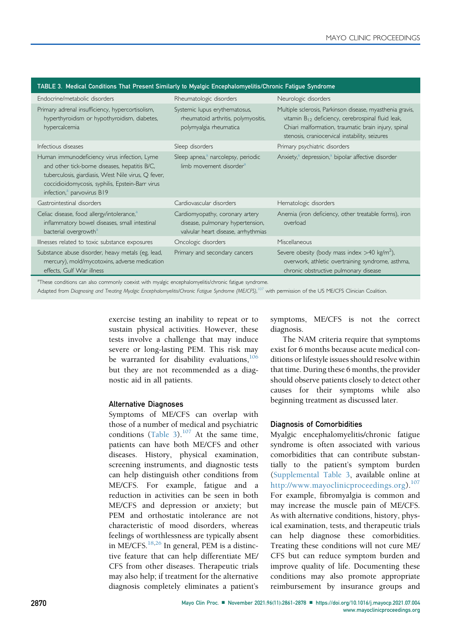| TABLE 3. Medical Conditions That Present Similarly to Myalgic Encephalomyelitis/Chronic Fatigue Syndrome                                                                                                                                           |                                                                                                            |                                                                                                                                                                                                                              |  |  |  |
|----------------------------------------------------------------------------------------------------------------------------------------------------------------------------------------------------------------------------------------------------|------------------------------------------------------------------------------------------------------------|------------------------------------------------------------------------------------------------------------------------------------------------------------------------------------------------------------------------------|--|--|--|
| Endocrine/metabolic disorders                                                                                                                                                                                                                      | Rheumatologic disorders                                                                                    | Neurologic disorders                                                                                                                                                                                                         |  |  |  |
| Primary adrenal insufficiency, hypercortisolism,<br>hyperthyroidism or hypothyroidism, diabetes,<br>hypercalcemia                                                                                                                                  | Systemic lupus erythematosus,<br>rheumatoid arthritis, polymyositis,<br>polymyalgia rheumatica             | Multiple sclerosis, Parkinson disease, myasthenia gravis,<br>vitamin $B_{12}$ deficiency, cerebrospinal fluid leak,<br>Chiari malformation, traumatic brain injury, spinal<br>stenosis, craniocervical instability, seizures |  |  |  |
| Infectious diseases                                                                                                                                                                                                                                | Sleep disorders                                                                                            | Primary psychiatric disorders                                                                                                                                                                                                |  |  |  |
| Human immunodeficiency virus infection, Lyme<br>and other tick-borne diseases, hepatitis B/C,<br>tuberculosis, giardiasis, West Nile virus, Q fever,<br>coccidioidomycosis, syphilis, Epstein-Barr virus<br>infection, <sup>a</sup> parvovirus B19 | Sleep apnea, <sup>a</sup> narcolepsy, periodic<br>limb movement disorder <sup>a</sup>                      | Anxiety, <sup>a</sup> depression, <sup>a</sup> bipolar affective disorder                                                                                                                                                    |  |  |  |
| Gastrointestinal disorders                                                                                                                                                                                                                         | Cardiovascular disorders                                                                                   | Hematologic disorders                                                                                                                                                                                                        |  |  |  |
| Celiac disease, food allergy/intolerance, <sup>a</sup><br>inflammatory bowel diseases, small intestinal<br>bacterial overgrowth <sup>a</sup>                                                                                                       | Cardiomyopathy, coronary artery<br>disease, pulmonary hypertension,<br>valvular heart disease, arrhythmias | Anemia (iron deficiency, other treatable forms), iron<br>overload                                                                                                                                                            |  |  |  |
| Illnesses related to toxic substance exposures                                                                                                                                                                                                     | Oncologic disorders                                                                                        | Miscellaneous                                                                                                                                                                                                                |  |  |  |
| Substance abuse disorder, heavy metals (eg, lead,<br>mercury), mold/mycotoxins, adverse medication<br>effects, Gulf War illness                                                                                                                    | Primary and secondary cancers                                                                              | Severe obesity (body mass index $>40$ kg/m <sup>2</sup> ),<br>overwork, athletic overtraining syndrome, asthma,<br>chronic obstructive pulmonary disease                                                                     |  |  |  |
| $2\pi\pi$ , the state of the state of the state of the state of the state of the state of the state of the state of the state of the state of the state of the state of the state of the state of the state of the state of the                    |                                                                                                            |                                                                                                                                                                                                                              |  |  |  |

## <span id="page-9-0"></span>TABLE 3. Medical Conditions That Present Similarly to Myalgic Encephalomyelitis/Chronic Fatigue Syndrome

<span id="page-9-1"></span>a tions can also commonly coexist with myalgic encephalomyelitis/chronic fatigue syndrome.

Adapted from Diagnosing and Treating Myalgic Encephalomyelitis/Chronic Fatigue Syndrome (ME/CFS),<sup>[107](#page-17-13)</sup> with permission of the US ME/CFS Clinician Coalition.

exercise testing an inability to repeat or to sustain physical activities. However, these tests involve a challenge that may induce severe or long-lasting PEM. This risk may be warranted for disability evaluations,  $106$ but they are not recommended as a diagnostic aid in all patients.

#### Alternative Diagnoses

Symptoms of ME/CFS can overlap with those of a number of medical and psychiatric conditions [\(Table 3](#page-9-0)).<sup>[107](#page-17-13)</sup> At the same time, patients can have both ME/CFS and other diseases. History, physical examination, screening instruments, and diagnostic tests can help distinguish other conditions from ME/CFS. For example, fatigue and a reduction in activities can be seen in both ME/CFS and depression or anxiety; but PEM and orthostatic intolerance are not characteristic of mood disorders, whereas feelings of worthlessness are typically absent in ME/CFS. $^{18,26}$  $^{18,26}$  $^{18,26}$  $^{18,26}$  In general, PEM is a distinctive feature that can help differentiate ME/ CFS from other diseases. Therapeutic trials may also help; if treatment for the alternative diagnosis completely eliminates a patient's symptoms, ME/CFS is not the correct diagnosis.

The NAM criteria require that symptoms exist for 6 months because acute medical conditions or lifestyle issues should resolve within that time. During these 6 months, the provider should observe patients closely to detect other causes for their symptoms while also beginning treatment as discussed later.

#### Diagnosis of Comorbidities

Myalgic encephalomyelitis/chronic fatigue syndrome is often associated with various comorbidities that can contribute substantially to the patient's symptom burden (Supplemental Table 3, available online at <http://www.mayoclinicproceedings.org>).<sup>[107](#page-17-13)</sup> For example, fibromyalgia is common and may increase the muscle pain of ME/CFS. As with alternative conditions, history, physical examination, tests, and therapeutic trials can help diagnose these comorbidities. Treating these conditions will not cure ME/ CFS but can reduce symptom burden and improve quality of life. Documenting these conditions may also promote appropriate reimbursement by insurance groups and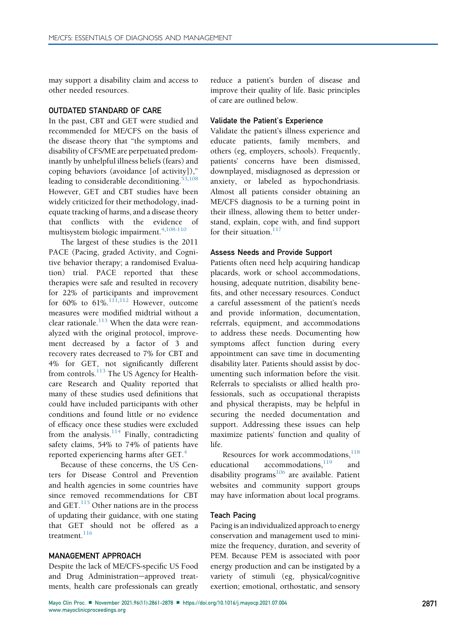may support a disability claim and access to other needed resources.

## OUTDATED STANDARD OF CARE

In the past, CBT and GET were studied and recommended for ME/CFS on the basis of the disease theory that "the symptoms and disability of CFS/ME are perpetuated predominantly by unhelpful illness beliefs (fears) and coping behaviors (avoidance [of activity])," leading to considerable deconditioning.<sup>[53](#page-15-24)[,108](#page-17-14)</sup> However, GET and CBT studies have been widely criticized for their methodology, inadequate tracking of harms, and a disease theory that conflicts with the evidence of multisystem biologic impairment.  $4,108-110$  $4,108-110$ 

The largest of these studies is the 2011 PACE (Pacing, graded Activity, and Cognitive behavior therapy; a randomised Evaluation) trial. PACE reported that these therapies were safe and resulted in recovery for 22% of participants and improvement for  $60\%$  to  $61\%$ .<sup>[111,](#page-17-15)[112](#page-17-16)</sup> However, outcome measures were modified midtrial without a clear rationale. $^{113}$  $^{113}$  $^{113}$  When the data were reanalyzed with the original protocol, improvement decreased by a factor of 3 and recovery rates decreased to 7% for CBT and 4% for GET, not significantly different from controls.<sup>[113](#page-17-17)</sup> The US Agency for Healthcare Research and Quality reported that many of these studies used definitions that could have included participants with other conditions and found little or no evidence of efficacy once these studies were excluded from the analysis. $114$  Finally, contradicting safety claims, 54% to 74% of patients have reported experiencing harms after GET.<sup>[4](#page-14-3)</sup>

Because of these concerns, the US Centers for Disease Control and Prevention and health agencies in some countries have since removed recommendations for CBT and GET.<sup>[115](#page-17-19)</sup> Other nations are in the process of updating their guidance, with one stating that GET should not be offered as a treatment.<sup>[116](#page-17-20)</sup>

## MANAGEMENT APPROACH

Despite the lack of ME/CFS-specific US Food and Drug Administration-approved treatments, health care professionals can greatly reduce a patient's burden of disease and improve their quality of life. Basic principles of care are outlined below.

## Validate the Patient's Experience

Validate the patient's illness experience and educate patients, family members, and others (eg, employers, schools). Frequently, patients' concerns have been dismissed, downplayed, misdiagnosed as depression or anxiety, or labeled as hypochondriasis. Almost all patients consider obtaining an ME/CFS diagnosis to be a turning point in their illness, allowing them to better understand, explain, cope with, and find support for their situation.<sup>[117](#page-17-21)</sup>

## Assess Needs and Provide Support

Patients often need help acquiring handicap placards, work or school accommodations, housing, adequate nutrition, disability benefits, and other necessary resources. Conduct a careful assessment of the patient's needs and provide information, documentation, referrals, equipment, and accommodations to address these needs. Documenting how symptoms affect function during every appointment can save time in documenting disability later. Patients should assist by documenting such information before the visit. Referrals to specialists or allied health professionals, such as occupational therapists and physical therapists, may be helpful in securing the needed documentation and support. Addressing these issues can help maximize patients' function and quality of life.

Resources for work accommodations.<sup>[118](#page-17-22)</sup> educational accommodations, <sup>[119](#page-17-23)</sup> and disability programs<sup>[106](#page-17-12)</sup> are available. Patient websites and community support groups may have information about local programs.

#### Teach Pacing

Pacing is an individualized approach to energy conservation and management used to minimize the frequency, duration, and severity of PEM. Because PEM is associated with poor energy production and can be instigated by a variety of stimuli (eg, physical/cognitive exertion; emotional, orthostatic, and sensory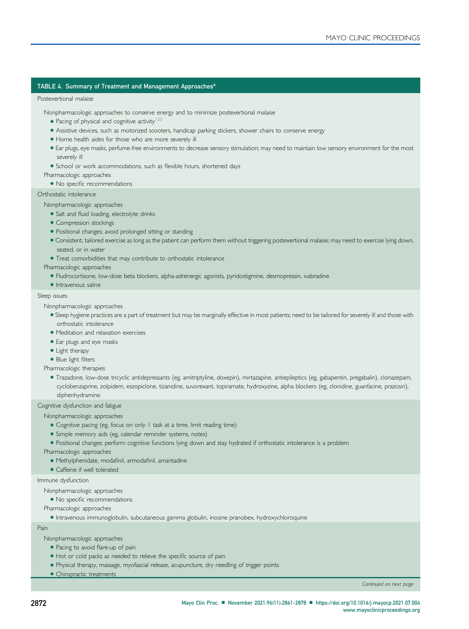## <span id="page-11-0"></span>TABLE 4. Summ[a](#page-12-0)ry of Treatment and Management Approaches<sup>a</sup>

#### Postexertional malaise

Nonpharmacologic approaches to conserve energy and to minimize postexertional malaise

- $\bullet$  Pacing of physical and cognitive activity<sup>120</sup>
- Assistive devices, such as motorized scooters, handicap parking stickers, shower chairs to conserve energy
- $\bullet$  Home health aides for those who are more severely ill
- <sup>d</sup> Ear plugs, eye masks, perfume-free environments to decrease sensory stimulation; may need to maintain low sensory environment for the most severely ill
- School or work accommodations, such as flexible hours, shortened days

Pharmacologic approaches

• No specific recommendations

Orthostatic intolerance

# Nonpharmacologic approaches

- Salt and fluid loading, electrolyte drinks
- Compression stockings
- Positional changes; avoid prolonged sitting or standing
- <sup>d</sup> Consistent, tailored exercise as long as the patient can perform them without triggering postexertional malaise; may need to exercise lying down, seated, or in water
- Treat comorbidities that may contribute to orthostatic intolerance

#### Pharmacologic approaches

- · Fludrocortisone, low-dose beta blockers, alpha-adrenergic agonists, pyridostigmine, desmopressin, ivabradine
- $\bullet$  Intravenous saline

#### Sleep issues

Nonpharmacologic approaches

- <sup>d</sup> Sleep hygiene practices are a part of treatment but may be marginally effective in most patients; need to be tailored for severely ill and those with orthostatic intolerance
- $\bullet$  Meditation and relaxation exercises
- Ear plugs and eye masks
- Light therapy
- Blue light filters

Pharmacologic therapies

<sup>d</sup> Trazadone, low-dose tricyclic antidepressants (eg, amitriptyline, doxepin), mirtazapine, antiepileptics (eg, gabapentin, pregabalin), clonazepam, cyclobenzaprine, zolpidem, eszopiclone, tizanidine, suvorexant, topiramate, hydroxyzine, alpha blockers (eg, clonidine, guanfacine, prazosin), diphenhydramine

Cognitive dysfunction and fatigue

#### Nonpharmacologic approaches

- Cognitive pacing (eg, focus on only 1 task at a time, limit reading time)
- Simple memory aids (eg, calendar reminder systems, notes)
- <sup>d</sup> Positional changes: perform cognitive functions lying down and stay hydrated if orthostatic intolerance is a problem

Pharmacologic approaches

· Methylphenidate, modafinil, armodafinil, amantadine

• Caffeine if well tolerated

Immune dysfunction

Nonpharmacologic approaches

• No specific recommendations

- Pharmacologic approaches
	- <sup>d</sup> Intravenous immunoglobulin, subcutaneous gamma globulin, inosine pranobex, hydroxychloroquine

Pain

Nonpharmacologic approaches

- Pacing to avoid flare-up of pain
- $\bullet$  Hot or cold packs as needed to relieve the specific source of pain
- Physical therapy, massage, myofascial release, acupuncture, dry needling of trigger points
- Chiropractic treatments

Continued on next page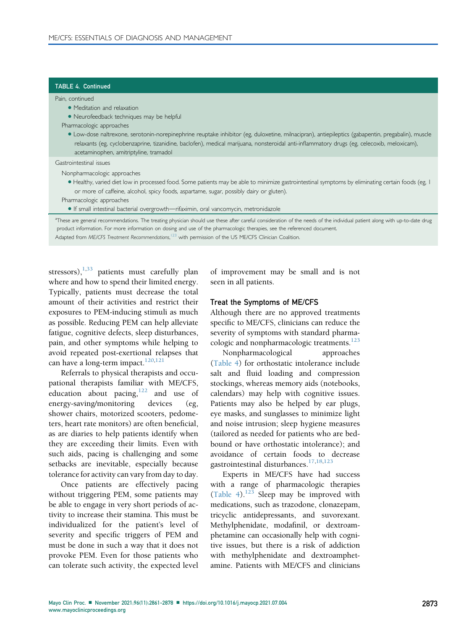#### TABLE 4. Continued

Pain, continued

- Meditation and relaxation
- Neurofeedback techniques may be helpful
- Pharmacologic approaches
	- <sup>d</sup> Low-dose naltrexone, serotonin-norepinephrine reuptake inhibitor (eg, duloxetine, milnacipran), antiepileptics (gabapentin, pregabalin), muscle relaxants (eg, cyclobenzaprine, tizanidine, baclofen), medical marijuana, nonsteroidal anti-inflammatory drugs (eg, celecoxib, meloxicam), acetaminophen, amitriptyline, tramadol

#### Gastrointestinal issues

Nonpharmacologic approaches

- <sup>d</sup> Healthy, varied diet low in processed food. Some patients may be able to minimize gastrointestinal symptoms by eliminating certain foods (eg, 1 or more of caffeine, alcohol, spicy foods, aspartame, sugar, possibly dairy or gluten).
- Pharmacologic approaches
- · If small intestinal bacterial overgrowth-rifaximin, oral vancomycin, metronidazole

<span id="page-12-0"></span><sup>a</sup>These are general recommendations. The treating physician should use these after careful consideration of the needs of the individual patient along with up-to-date drug product information. For more information on dosing and use of the pharmacologic therapies, see the referenced document.

Adapted from ME/CFS Treatment Recommendations,<sup>[123](#page-17-27)</sup> with permission of the US ME/CFS Clinician Coalition.

stressors), $1,33$  $1,33$  patients must carefully plan where and how to spend their limited energy. Typically, patients must decrease the total amount of their activities and restrict their exposures to PEM-inducing stimuli as much as possible. Reducing PEM can help alleviate fatigue, cognitive defects, sleep disturbances, pain, and other symptoms while helping to avoid repeated post-exertional relapses that can have a long-term impact.<sup>[120,](#page-17-24)[121](#page-17-25)</sup>

Referrals to physical therapists and occupational therapists familiar with ME/CFS, education about pacing, $122$  and use of energy-saving/monitoring devices (eg, shower chairs, motorized scooters, pedometers, heart rate monitors) are often beneficial, as are diaries to help patients identify when they are exceeding their limits. Even with such aids, pacing is challenging and some setbacks are inevitable, especially because tolerance for activity can vary from day to day.

Once patients are effectively pacing without triggering PEM, some patients may be able to engage in very short periods of activity to increase their stamina. This must be individualized for the patient's level of severity and specific triggers of PEM and must be done in such a way that it does not provoke PEM. Even for those patients who can tolerate such activity, the expected level

of improvement may be small and is not seen in all patients.

#### Treat the Symptoms of ME/CFS

Although there are no approved treatments specific to ME/CFS, clinicians can reduce the severity of symptoms with standard pharmacologic and nonpharmacologic treatments.<sup>123</sup>

Nonpharmacological approaches [\(Table 4](#page-11-0)) for orthostatic intolerance include salt and fluid loading and compression stockings, whereas memory aids (notebooks, calendars) may help with cognitive issues. Patients may also be helped by ear plugs, eye masks, and sunglasses to minimize light and noise intrusion; sleep hygiene measures (tailored as needed for patients who are bedbound or have orthostatic intolerance); and avoidance of certain foods to decrease gastrointestinal disturbances.  $17,18,123$  $17,18,123$  $17,18,123$ 

Experts in ME/CFS have had success with a range of pharmacologic therapies [\(Table 4\)](#page-11-0). $^{123}$  Sleep may be improved with medications, such as trazodone, clonazepam, tricyclic antidepressants, and suvorexant. Methylphenidate, modafinil, or dextroamphetamine can occasionally help with cognitive issues, but there is a risk of addiction with methylphenidate and dextroamphetamine. Patients with ME/CFS and clinicians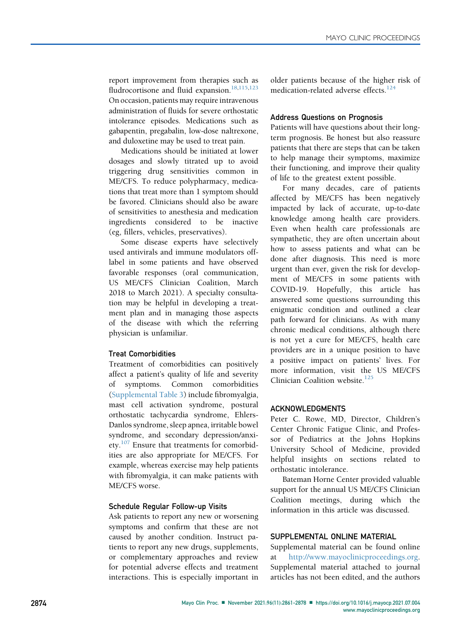report improvement from therapies such as fludrocortisone and fluid expansion.<sup>[18](#page-14-15)[,115](#page-17-19)[,123](#page-17-27)</sup> On occasion, patients may require intravenous administration of fluids for severe orthostatic intolerance episodes. Medications such as gabapentin, pregabalin, low-dose naltrexone, and duloxetine may be used to treat pain.

Medications should be initiated at lower dosages and slowly titrated up to avoid triggering drug sensitivities common in ME/CFS. To reduce polypharmacy, medications that treat more than 1 symptom should be favored. Clinicians should also be aware of sensitivities to anesthesia and medication ingredients considered to be inactive (eg, fillers, vehicles, preservatives).

Some disease experts have selectively used antivirals and immune modulators offlabel in some patients and have observed favorable responses (oral communication, US ME/CFS Clinician Coalition, March 2018 to March 2021). A specialty consultation may be helpful in developing a treatment plan and in managing those aspects of the disease with which the referring physician is unfamiliar.

# Treat Comorbidities

Treatment of comorbidities can positively affect a patient's quality of life and severity of symptoms. Common comorbidities (Supplemental Table 3) include fibromyalgia, mast cell activation syndrome, postural orthostatic tachycardia syndrome, Ehlers-Danlos syndrome, sleep apnea, irritable bowel syndrome, and secondary depression/anxi-ety.<sup>[107](#page-17-13)</sup> Ensure that treatments for comorbidities are also appropriate for ME/CFS. For example, whereas exercise may help patients with fibromyalgia, it can make patients with ME/CFS worse.

# Schedule Regular Follow-up Visits

Ask patients to report any new or worsening symptoms and confirm that these are not caused by another condition. Instruct patients to report any new drugs, supplements, or complementary approaches and review for potential adverse effects and treatment interactions. This is especially important in older patients because of the higher risk of medication-related adverse effects.<sup>[124](#page-17-28)</sup>

## Address Questions on Prognosis

Patients will have questions about their longterm prognosis. Be honest but also reassure patients that there are steps that can be taken to help manage their symptoms, maximize their functioning, and improve their quality of life to the greatest extent possible.

For many decades, care of patients affected by ME/CFS has been negatively impacted by lack of accurate, up-to-date knowledge among health care providers. Even when health care professionals are sympathetic, they are often uncertain about how to assess patients and what can be done after diagnosis. This need is more urgent than ever, given the risk for development of ME/CFS in some patients with COVID-19. Hopefully, this article has answered some questions surrounding this enigmatic condition and outlined a clear path forward for clinicians. As with many chronic medical conditions, although there is not yet a cure for ME/CFS, health care providers are in a unique position to have a positive impact on patients' lives. For more information, visit the US ME/CFS Clinician Coalition website. $125$ 

## ACKNOWLEDGMENTS

Peter C. Rowe, MD, Director, Children's Center Chronic Fatigue Clinic, and Professor of Pediatrics at the Johns Hopkins University School of Medicine, provided helpful insights on sections related to orthostatic intolerance.

Bateman Horne Center provided valuable support for the annual US ME/CFS Clinician Coalition meetings, during which the information in this article was discussed.

## SUPPLEMENTAL ONLINE MATERIAL

Supplemental material can be found online at [http://www.mayoclinicproceedings.org.](http://www.mayoclinicproceedings.org) Supplemental material attached to journal articles has not been edited, and the authors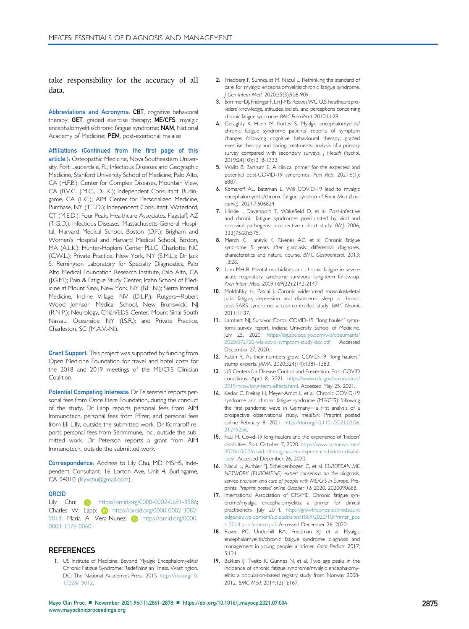take responsibility for the accuracy of all data.

Abbreviations and Acronyms: CBT, cognitive behavioral therapy; GET, graded exercise therapy; ME/CFS, myalgic encephalomyelitis/chronic fatigue syndrome; NAM, National Academy of Medicine; PEM, post-exertional malaise

Affiliations (Continued from the first page of this article.): Osteopathic Medicine, Nova Southeastern University, Fort Lauderdale, FL; Infectious Diseases and Geographic Medicine, Stanford University School of Medicine, Palo Alto, CA (H.F.B.); Center for Complex Diseases, Mountain View, CA (B.V.C., J.M.C., D.L.K.); Independent Consultant, Burlingame, CA (L.C.); AIM Center for Personalized Medicine, Purchase, NY (T.T.D.); Independent Consultant, Waterford, CT (M.E.D.); Four Peaks Healthcare Associates, Flagstaff, AZ (T.G.D.); Infectious Diseases, Massachusetts General Hospital, Harvard Medical School, Boston (D.F.); Brigham and Women's Hospital and Harvard Medical School, Boston, MA (A.L.K.); Hunter-Hopkins Center PLLC, Charlotte, NC (C.W.L.); Private Practice, New York, NY (S.M.L.); Dr Jack S. Remington Laboratory for Specialty Diagnostics, Palo Alto Medical Foundation Research Institute, Palo Alto, CA (J.G.M.); Pain & Fatigue Study Center, Icahn School of Medicine at Mount Sinai, New York, NY (B.H.N.); Sierra Internal Medicine, Incline Village, NV (D.L.P.); Rutgers-Robert Wood Johnson Medical School, New Brunswick, NJ (R.N.P.); Neurology, Chiari/EDS Center, Mount Sinai South Nassau, Oceanside, NY (I.S.R.); and Private Practice, Charleston, SC (M.A.V.-N.).

**Grant Support:** This project was supported by funding from Open Medicine Foundation for travel and hotel costs for the 2018 and 2019 meetings of the ME/CFS Clinician Coalition.

Potential Competing Interests: Dr Felsenstein reports personal fees from Once Here Foundation, during the conduct of the study. Dr Lapp reports personal fees from AIM Immunotech, personal fees from Pfizer, and personal fees from Eli Lilly, outside the submitted work. Dr Komaroff reports personal fees from Serimmune, Inc., outside the submitted work. Dr Peterson reports a grant from AIM Immunotech, outside the submitted work.

Correspondence: Address to Lily Chu, MD, MSHS, Independent Consultant, 16 Lorton Ave, Unit 4, Burlingame, CA 94010 [\(lilyxchu@gmail.com\)](mailto:lilyxchu@gmail.com).

#### ORCID

Lily Chu: **in** [https://orcid.org/0000-0002-0691-3586;](https://orcid.org/0000-0002-0691-3586) [Charles W. Lapp:](https://orcid.org/0000-0002-0691-3586) **i** [https://orcid.org/0000-0002-3082-](https://orcid.org/0000-0002-3082-9018) [9018; Maria A. Vera-Nunez:](https://orcid.org/0000-0002-3082-9018) **iD** [https://orcid.org/0000-](https://orcid.org/0000-0003-1376-0060) [0003-1376-0060](https://orcid.org/0000-0003-1376-0060)

#### REFERENCES

<span id="page-14-0"></span>1. US Institute of Medicine. Beyond Myalgic Encephalomyelitis/ Chronic Fatigue Syndrome: Redefining an Illness. Washington, DC: The National Academies Press; 2015. [https://doi.org/10.](https://doi.org/10.17226/19012) [17226/19012](https://doi.org/10.17226/19012).

- <span id="page-14-1"></span>2. Friedberg F, Sunnquist M, Nacul L. Rethinking the standard of care for myalgic encephalomyelitis/chronic fatigue syndrome. J Gen Intern Med. 2020;35(3):906-909.
- <span id="page-14-2"></span>3. BrimmerDJ, Fridinger F, Lin J-MS, ReevesWC.U.S.healthcare providers' knowledge, attitudes, beliefs, and perceptions concerning chronic fatigue syndrome. BMC Fam Pract. 2010;11:28.
- <span id="page-14-3"></span>4. Geraghty K, Hann M, Kurtev S. Myalgic encephalomyelitis/ chronic fatigue syndrome patients' reports of symptom changes following cognitive behavioural therapy, graded exercise therapy and pacing treatments: analysis of a primary survey compared with secondary surveys. J Health Psychol. 2019;24(10):1318-1333.
- <span id="page-14-4"></span>5. Walitt B, Bartrum E. A clinical primer for the expected and potential post-COVID-19 syndromes. Pain Rep. 2021;6(1): e887.
- <span id="page-14-5"></span>6. Komaroff AL, Bateman L. Will COVID-19 lead to myalgic encephalomyelitis/chronic fatigue syndrome? Front Med (Lausanne). 2021;7:606824.
- <span id="page-14-6"></span>7. Hickie I, Davenport T, Wakefield D, et al. Post-infective and chronic fatigue syndromes precipitated by viral and non-viral pathogens: prospective cohort study. BMJ. 2006; 333(7568):575.
- <span id="page-14-7"></span>8. Mørch K, Hanevik K, Rivenes AC, et al. Chronic fatigue syndrome 5 years after giardiasis: differential diagnoses, characteristics and natural course. BMC Gastroenterol. 2013; 13:28.
- <span id="page-14-8"></span>9. Lam MH-B. Mental morbidities and chronic fatigue in severe acute respiratory syndrome survivors: long-term follow-up. Arch Intern Med. 2009;169(22):2142-2147.
- <span id="page-14-9"></span>10. Moldofsky H, Patcai J. Chronic widespread musculoskeletal pain, fatigue, depression and disordered sleep in chronic post-SARS syndrome; a case-controlled study. BMC Neurol. 2011;11:37.
- <span id="page-14-10"></span>11. Lambert NJ; Survivor Corps. COVID-19 "long hauler" symptoms survey report. Indiana University School of Medicine. July 25, 2020. [https://dig.abclocal.go.com/wls/documents/](https://dig.abclocal.go.com/wls/documents/2020/072720-wls-covid-symptom-study-doc.pdf) [2020/072720-wls-covid-symptom-study-doc.pdf](https://dig.abclocal.go.com/wls/documents/2020/072720-wls-covid-symptom-study-doc.pdf). Accessed December 27, 2020.
- 12. Rubin R. As their numbers grow, COVID-19 "long haulers" stump experts. JAMA. 2020;324(14):1381-1383.
- <span id="page-14-11"></span>13. US Centers for Disease Control and Prevention. Post-COVID conditions. April 8, 2021. [https://www.cdc.gov/coronavirus/](https://www.cdc.gov/coronavirus/2019-ncov/long-term-effects.html) [2019-ncov/long-term-effects.html](https://www.cdc.gov/coronavirus/2019-ncov/long-term-effects.html). Accessed May 25, 2021.
- <span id="page-14-12"></span>14. Kedor C, Freitag H, Meyer-Arndt L, et al. Chronic COVID-19 syndrome and chronic fatigue syndrome (ME/CFS) following the first pandemic wave in Germany-a first analysis of a prospective observational study. medRxiv. Preprint posted online February 8, 2021. [https://doi.org/10.1101/2021.02.06.](https://doi.org/10.1101/2021.02.06.21249256) [21249256](https://doi.org/10.1101/2021.02.06.21249256).
- <span id="page-14-13"></span>15. Paul H. Covid-19 long-haulers and the experience of 'hidden' disabilities. Stat. October 7, 2020. [https://www.statnews.com/](https://www.statnews.com/2020/10/07/covid-19-long-haulers-experience-hidden-disabilities/) [2020/10/07/covid-19-long-haulers-experience-hidden-disabil](https://www.statnews.com/2020/10/07/covid-19-long-haulers-experience-hidden-disabilities/)[ities/](https://www.statnews.com/2020/10/07/covid-19-long-haulers-experience-hidden-disabilities/). Accessed December 26, 2020.
- <span id="page-14-14"></span>16. Nacul L, Authier FJ, Scheibenbogen C, et al. EUROPEAN ME NETWORK (EUROMENE) expert consensus on the diagnosis, service provision and care of people with ME/CFS in Europe. Preprints. Preprint posted online October 16 2020. 2020090688.
- <span id="page-14-17"></span>17. International Association of CFS/ME. Chronic fatigue syndrome/myalgic encephalomyelitis: a primer for clinical practitioners. July 2014. [https://growthzonesitesprod.azure](https://growthzonesitesprod.azureedge.net/wp-content/uploads/sites/1869/2020/10/Primer_post_2014_conference.pdf) [edge.net/wp-content/uploads/sites/1869/2020/10/Primer\\_pos](https://growthzonesitesprod.azureedge.net/wp-content/uploads/sites/1869/2020/10/Primer_post_2014_conference.pdf) [t\\_2014\\_conference.pdf](https://growthzonesitesprod.azureedge.net/wp-content/uploads/sites/1869/2020/10/Primer_post_2014_conference.pdf). Accessed December 26, 2020.
- <span id="page-14-15"></span>18. Rowe PC, Underhill RA, Friedman KJ, et al. Myalgic encephalomyelitis/chronic fatigue syndrome diagnosis and management in young people: a primer. Front Pediatr. 2017; 5:121.
- <span id="page-14-16"></span>19. Bakken IJ, Tveito K, Gunnes N, et al. Two age peaks in the incidence of chronic fatigue syndrome/myalgic encephalomyelitis: a population-based registry study from Norway 2008- 2012. BMC Med. 2014;12(1):167.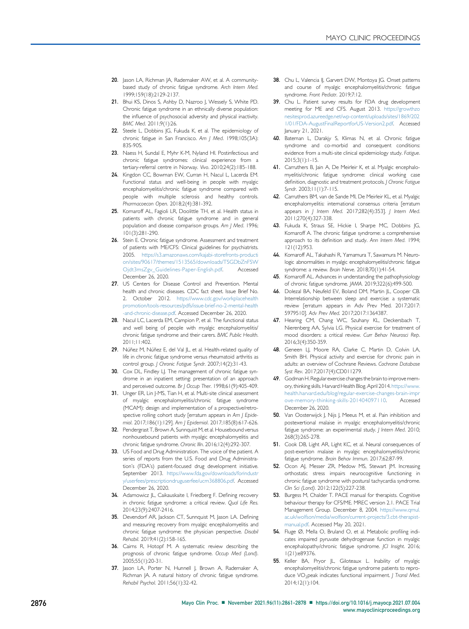- <span id="page-15-0"></span>20. Jason LA, Richman JA, Rademaker AW, et al. A communitybased study of chronic fatigue syndrome. Arch Intern Med. 1999;159(18):2129-2137.
- 21. Bhui KS, Dinos S, Ashby D, Nazroo J, Wessely S, White PD. Chronic fatigue syndrome in an ethnically diverse population: the influence of psychosocial adversity and physical inactivity. BMC Med. 2011;9(1):26.
- 22. Steele L, Dobbins JG, Fukuda K, et al. The epidemiology of chronic fatigue in San Francisco. Am J Med. 1998;105(3A): 83S-90S.
- <span id="page-15-1"></span>23. Naess H, Sundal E, Myhr K-M, Nyland HI. Postinfectious and chronic fatigue syndromes: clinical experience from a tertiary-referral centre in Norway. Vivo. 2010;24(2):185-188.
- <span id="page-15-2"></span>24. Kingdon CC, Bowman EW, Curran H, Nacul L, Lacerda EM. Functional status and well-being in people with myalgic encephalomyelitis/chronic fatigue syndrome compared with people with multiple sclerosis and healthy controls. Pharmacoecon Open. 2018;2(4):381-392.
- <span id="page-15-3"></span>25. Komaroff AL, Fagioli LR, Doolittle TH, et al. Health status in patients with chronic fatigue syndrome and in general population and disease comparison groups. Am J Med. 1996; 101(3):281-290.
- <span id="page-15-4"></span>26. Stein E. Chronic fatigue syndrome. Assessment and treatment of patients with ME/CFS: Clinical guidelines for psychiatrists. 2005. [https://s3.amazonaws.com/kajabi-storefronts-producti](https://s3.amazonaws.com/kajabi-storefronts-production/sites/90617/themes/1513565/downloads/TSGDbZnFSWOjdt3msZgv_Guidelines-Paper-English.pdf) [on/sites/90617/themes/1513565/downloads/TSGDbZnFSW](https://s3.amazonaws.com/kajabi-storefronts-production/sites/90617/themes/1513565/downloads/TSGDbZnFSWOjdt3msZgv_Guidelines-Paper-English.pdf) [Ojdt3msZgv\\_Guidelines-Paper-English.pdf](https://s3.amazonaws.com/kajabi-storefronts-production/sites/90617/themes/1513565/downloads/TSGDbZnFSWOjdt3msZgv_Guidelines-Paper-English.pdf). Accessed December 26, 2020.
- <span id="page-15-5"></span>27. US Centers for Disease Control and Prevention. Mental health and chronic diseases. CDC fact sheet. Issue Brief No. 2. October 2012. [https://www.cdc.gov/workplacehealth](https://www.cdc.gov/workplacehealthpromotion/tools-resources/pdfs/issue-brief-no-2-mental-health-and-chronic-disease.pdf) [promotion/tools-resources/pdfs/issue-brief-no-2-mental-health](https://www.cdc.gov/workplacehealthpromotion/tools-resources/pdfs/issue-brief-no-2-mental-health-and-chronic-disease.pdf) [-and-chronic-disease.pdf](https://www.cdc.gov/workplacehealthpromotion/tools-resources/pdfs/issue-brief-no-2-mental-health-and-chronic-disease.pdf). Accessed December 26, 2020.
- <span id="page-15-6"></span>28. Nacul LC, Lacerda EM, Campion P, et al. The functional status and well being of people with myalgic encephalomyelitis/ chronic fatigue syndrome and their carers. BMC Public Health. 2011;11:402.
- <span id="page-15-7"></span>29. Núñez M, Núñez E, del Val JL, et al. Health-related quality of life in chronic fatigue syndrome versus rheumatoid arthritis as control group. J Chronic Fatigue Syndr. 2007;14(2):31-43.
- <span id="page-15-8"></span>30. Cox DL, Findley LJ. The management of chronic fatigue syndrome in an inpatient setting: presentation of an approach and perceived outcome. Br J Occup Ther. 1998;61(9):405-409.
- <span id="page-15-9"></span>31. Unger ER, Lin J-MS, Tian H, et al. Multi-site clinical assessment of myalgic encephalomyelitis/chronic fatigue syndrome (MCAM): design and implementation of a prospective/retrospective rolling cohort study [erratum appears in Am | Epidemiol. 2017;186(1):129]. Am J Epidemiol. 2017;185(8):617-626.
- <span id="page-15-10"></span>32. Pendergrast T, Brown A, Sunnquist M, et al. Housebound versus nonhousebound patients with myalgic encephalomyelitis and chronic fatigue syndrome. Chronic Illn. 2016;12(4):292-307.
- <span id="page-15-11"></span>33. US Food and Drug Administration. The voice of the patient. A series of reports from the U.S. Food and Drug Administration's (FDA's) patient-focused drug development initiative. September 2013. [https://www.fda.gov/downloads/forindustr](https://www.fda.gov/downloads/forindustry/userfees/prescriptiondruguserfee/ucm368806.pdf) [y/userfees/prescriptiondruguserfee/ucm368806.pdf.](https://www.fda.gov/downloads/forindustry/userfees/prescriptiondruguserfee/ucm368806.pdf) Accessed December 26, 2020.
- <span id="page-15-12"></span>34. Adamowicz JL, Caikauskaite I, Friedberg F. Defining recovery in chronic fatigue syndrome: a critical review. Qual Life Res. 2014;23(9):2407-2416.
- <span id="page-15-13"></span>35. Devendorf AR, Jackson CT, Sunnquist M, Jason LA. Defining and measuring recovery from myalgic encephalomyelitis and chronic fatigue syndrome: the physician perspective. Disabil Rehabil. 2019;41(2):158-165.
- <span id="page-15-14"></span>36. Cairns R, Hotopf M. A systematic review describing the prognosis of chronic fatigue syndrome. Occup Med (Lond). 2005;55(1):20-31.
- <span id="page-15-15"></span>37. Jason LA, Porter N, Hunnell J, Brown A, Rademaker A, .<br>Richman JA. A natural history of chronic fatigue syndrome. Rehabil Psychol. 2011;56(1):32-42.
- 38. Chu L, Valencia II, Garvert DW, Montoya JG. Onset patterns and course of myalgic encephalomyelitis/chronic fatigue syndrome. Front Pediatr. 2019;7:12.
- 39. Chu L. Patient survey results for FDA drug development meeting for ME and CFS. August 2013. [https://growthzo](https://growthzonesitesprod.azureedge.net/wp-content/uploads/sites/1869/2021/01/FDA-AugustFinalReportforUS-Version2.pdf) [nesitesprod.azureedge.net/wp-content/uploads/sites/1869/202](https://growthzonesitesprod.azureedge.net/wp-content/uploads/sites/1869/2021/01/FDA-AugustFinalReportforUS-Version2.pdf) [1/01/FDA-AugustFinalReportforUS-Version2.pdf](https://growthzonesitesprod.azureedge.net/wp-content/uploads/sites/1869/2021/01/FDA-AugustFinalReportforUS-Version2.pdf). Accessed January 21, 2021.
- <span id="page-15-16"></span>40. Bateman L, Darakjy S, Klimas N, et al. Chronic fatigue syndrome and co-morbid and consequent conditions: evidence from a multi-site clinical epidemiology study. Fatigue. 2015;3(1):1-15.
- <span id="page-15-17"></span>41. Carruthers B, Jain A, De Meirleir K, et al. Myalgic encephalomyelitis/chronic fatigue syndrome: clinical working case definition, diagnostic and treatment protocols. J Chronic Fatigue Syndr. 2003;11(1):7-115.
- <span id="page-15-18"></span>42. Carruthers BM, van de Sande MI, De Meirleir KL, et al. Myalgic encephalomyelitis: international consensus criteria [erratum appears in *J Intern Med.* 2017;282(4):353]. *J Intern Med.* 2011;270(4):327-338.
- <span id="page-15-19"></span>43. Fukuda K, Straus SE, Hickie I, Sharpe MC, Dobbins JG, Komaroff A. The chronic fatigue syndrome: a comprehensive approach to its definition and study. Ann Intern Med. 1994; 121(12):953.
- <span id="page-15-20"></span>44. Komaroff AL, Takahashi R, Yamamura T, Sawamura M. Neurologic abnormalities in myalgic encephalomyelitis/chronic fatigue syndrome: a review. Brain Nerve. 2018;70(1):41-54.
- <span id="page-15-21"></span>45. Komaroff AL. Advances in understanding the pathophysiology of chronic fatigue syndrome. JAMA. 2019;322(6):499-500.
- <span id="page-15-22"></span>46. Dolezal BA, Neufeld EV, Boland DM, Martin JL, Cooper CB. Interrelationship between sleep and exercise: a systematic review [erratum appears in Adv Prev Med. 2017;2017: 5979510]. Adv Prev Med. 2017;2017:1364387.
- 47. Hearing CM, Chang WC, Szuhany KL, Deckersbach T, Nierenberg AA, Sylvia LG. Physical exercise for treatment of mood disorders: a critical review. Curr Behav Neurosci Rep. 2016;3(4):350-359.
- 48. Geneen LJ, Moore RA, Clarke C, Martin D, Colvin LA, Smith BH. Physical activity and exercise for chronic pain in adults: an overview of Cochrane Reviews. Cochrane Database Syst Rev. 2017;2017(4):CD011279.
- 49. Godman H. Regular exercise changes the brain to improve memory, thinking skills. Harvard Health Blog. April 2014. [https://www.](https://www.health.harvard.edu/blog/regular-exercise-changes-brain-improve-memory-thinking-skills-201404097110) [health.harvard.edu/blog/regular-exercise-changes-brain-impr](https://www.health.harvard.edu/blog/regular-exercise-changes-brain-improve-memory-thinking-skills-201404097110) [ove-memory-thinking-skills-201404097110](https://www.health.harvard.edu/blog/regular-exercise-changes-brain-improve-memory-thinking-skills-201404097110). Accessed December 26, 2020.
- <span id="page-15-23"></span>50. Van Oosterwijck J, Nijs J, Meeus M, et al. Pain inhibition and postexertional malaise in myalgic encephalomyelitis/chronic fatigue syndrome: an experimental study. J Intern Med. 2010; 268(3):265-278.
- <span id="page-15-27"></span>51. Cook DB, Light AR, Light KC, et al. Neural consequences of post-exertion malaise in myalgic encephalomyelitis/chronic fatigue syndrome. Brain Behav Immun. 2017;62:87-99.
- 52. Ocon AJ, Messer ZR, Medow MS, Stewart JM. Increasing orthostatic stress impairs neurocognitive functioning in chronic fatigue syndrome with postural tachycardia syndrome. Clin Sci (Lond). 2012;122(5):227-238.
- <span id="page-15-24"></span>53. Burgess M, Chalder T. PACE manual for therapists. Cognitive behaviour therapy for CFS/ME. MREC version 2.1. PACE Trial Management Group. December 8, 2004. [https://www.qmul.](https://www.qmul.ac.uk/wolfson/media/wolfson/current-projects/3.cbt-therapist-manual.pdf) [ac.uk/wolfson/media/wolfson/current-projects/3.cbt-therapist](https://www.qmul.ac.uk/wolfson/media/wolfson/current-projects/3.cbt-therapist-manual.pdf)[manual.pdf](https://www.qmul.ac.uk/wolfson/media/wolfson/current-projects/3.cbt-therapist-manual.pdf). Accessed May 20, 2021.
- <span id="page-15-25"></span>54. Fluge Ø, Mella O, Bruland O, et al. Metabolic profiling indicates impaired pyruvate dehydrogenase function in myalgic encephalopathy/chronic fatigue syndrome. JCI Insight. 2016; 1(21):e89376.
- <span id="page-15-26"></span>55. Keller BA, Pryor JL, Giloteaux L. Inability of myalgic encephalomyelitis/chronic fatigue syndrome patients to reproduce VO<sub>2</sub>peak indicates functional impairment. *J Transl Med.* 2014;12(1):104.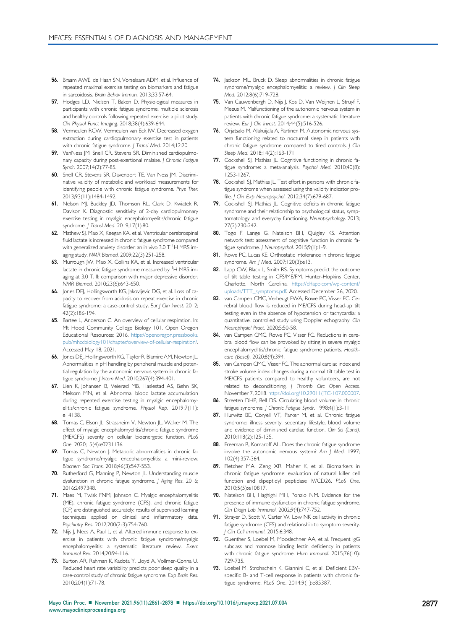- 56. Braam AWE, de Haan SN, Vorselaars ADM, et al. Influence of repeated maximal exercise testing on biomarkers and fatigue in sarcoidosis. Brain Behav Immun. 2013;33:57-64.
- <span id="page-16-0"></span>57. Hodges LD, Nielsen T, Baken D. Physiological measures in participants with chronic fatigue syndrome, multiple sclerosis and healthy controls following repeated exercise: a pilot study. Clin Physiol Funct Imaging. 2018;38(4):639-644.
- 58. Vermeulen RCW, Vermeulen van Eck IW. Decreased oxygen extraction during cardiopulmonary exercise test in patients with chronic fatigue syndrome. J Transl Med. 2014;12:20.
- 59. VanNess JM, Snell CR, Stevens SR. Diminished cardiopulmonary capacity during post-exertional malaise. J Chronic Fatigue Syndr. 2007;14(2):77-85.
- 60. Snell CR, Stevens SR, Davenport TE, Van Ness JM. Discriminative validity of metabolic and workload measurements for identifying people with chronic fatigue syndrome. Phys Ther. 2013;93(11):1484-1492.
- <span id="page-16-1"></span>61. Nelson MJ, Buckley JD, Thomson RL, Clark D, Kwiatek R, Davison K. Diagnostic sensitivity of 2-day cardiopulmonary exercise testing in myalgic encephalomyelitis/chronic fatigue syndrome. | Transl Med. 2019;17(1):80.
- <span id="page-16-2"></span>62. Mathew SJ, Mao X, Keegan KA, et al. Ventricular cerebrospinal fluid lactate is increased in chronic fatigue syndrome compared with generalized anxiety disorder: an in vivo 3.0 T  $^{\mathrm{1}}$ H MRS imaging study. NMR Biomed. 2009;22(3):251-258.
- <span id="page-16-3"></span>63. Murrough JW, Mao X, Collins KA, et al. Increased ventricular lactate in chronic fatigue syndrome measured by <sup>1</sup>H MRS imaging at 3.0 T. II: comparison with major depressive disorder. NMR Biomed. 2010;23(6):643-650.
- <span id="page-16-4"></span>64. Jones DEJ, Hollingsworth KG, Jakovljevic DG, et al. Loss of capacity to recover from acidosis on repeat exercise in chronic fatigue syndrome: a case-control study. Eur J Clin Invest. 2012; 42(2):186-194.
- <span id="page-16-5"></span>65. Bartee L, Anderson C. An overview of cellular respiration. In: Mt Hood Community College Biology 101. Open Oregon Educational Resources; 2016. [https://openoregon.pressbooks.](https://openoregon.pressbooks.pub/mhccbiology101/chapter/overview-of-cellular-respiration/) [pub/mhccbiology101/chapter/overview-of-cellular-respiration/](https://openoregon.pressbooks.pub/mhccbiology101/chapter/overview-of-cellular-respiration/). Accessed May 18, 2021.
- <span id="page-16-6"></span>66. Jones DEJ, Hollingsworth KG, Taylor R, Blamire AM, Newton JL. Abnormalities in pH handling by peripheral muscle and potential regulation by the autonomic nervous system in chronic fatigue syndrome. J Intern Med. 2010;267(4):394-401.
- <span id="page-16-7"></span>67. Lien K, Johansen B, Veierød MB, Haslestad AS, Bøhn SK, Melsom MN, et al. Abnormal blood lactate accumulation during repeated exercise testing in myalgic encephalomyelitis/chronic fatigue syndrome. Physiol Rep. 2019;7(11): e14138.
- <span id="page-16-8"></span>68. Tomas C, Elson JL, Strassheim V, Newton JL, Walker M. The effect of myalgic encephalomyelitis/chronic fatigue syndrome (ME/CFS) severity on cellular bioenergetic function. PLoS One. 2020;15(4):e0231136.
- <span id="page-16-9"></span>69. Tomas C, Newton J. Metabolic abnormalities in chronic fatigue syndrome/myalgic encephalomyelitis: a mini-review. Biochem Soc Trans. 2018;46(3):547-553.
- <span id="page-16-10"></span>70. Rutherford G, Manning P, Newton JL. Understanding muscle dysfunction in chronic fatigue syndrome. J Aging Res. 2016; 2016:2497348.
- <span id="page-16-11"></span>71. Maes M, Twisk FNM, Johnson C. Myalgic encephalomyelitis (ME), chronic fatigue syndrome (CFS), and chronic fatigue (CF) are distinguished accurately: results of supervised learning techniques applied on clinical and inflammatory data. Psychiatry Res. 2012;200(2-3):754-760.
- <span id="page-16-12"></span>72. Nijs J, Nees A, Paul L, et al. Altered immune response to exercise in patients with chronic fatigue syndrome/myalgic encephalomyelitis: a systematic literature review. Exerc Immunol Rev. 2014;20:94-116.
- <span id="page-16-13"></span>73. Burton AR, Rahman K, Kadota Y, Lloyd A, Vollmer-Conna U. Reduced heart rate variability predicts poor sleep quality in a case-control study of chronic fatigue syndrome. Exp Brain Res. 2010;204(1):71-78.
- <span id="page-16-14"></span>74. Jackson ML, Bruck D. Sleep abnormalities in chronic fatigue syndrome/myalgic encephalomyelitis: a review. J Clin Sleep Med. 2012;8(6):719-728.
- 75. Van Cauwenbergh D, Nijs J, Kos D, Van Weijnen L, Struyf F, Meeus M. Malfunctioning of the autonomic nervous system in patients with chronic fatigue syndrome: a systematic literature review. Eur J Clin Invest. 2014;44(5):516-526.
- 76. Orjatsalo M, Alakuijala A, Partinen M. Autonomic nervous system functioning related to nocturnal sleep in patients with chronic fatigue syndrome compared to tired controls. J Clin Sleep Med. 2018;14(2):163-171.
- <span id="page-16-15"></span>77. Cockshell SJ, Mathias JL. Cognitive functioning in chronic fatigue syndrome: a meta-analysis. Psychol Med. 2010;40(8): 1253-1267.
- <span id="page-16-16"></span>78. Cockshell SJ, Mathias JL. Test effort in persons with chronic fatigue syndrome when assessed using the validity indicator profile. | Clin Exp Neuropsychol. 2012;34(7):679-687.
- <span id="page-16-17"></span>79. Cockshell SJ, Mathias JL. Cognitive deficits in chronic fatigue syndrome and their relationship to psychological status, symptomatology, and everyday functioning. Neuropsychology. 2013; 27(2):230-242.
- <span id="page-16-18"></span>80. Togo F, Lange G, Natelson BH, Quigley KS. Attention network test: assessment of cognitive function in chronic fatigue syndrome. | Neuropsychol. 2015;9(1):1-9.
- <span id="page-16-19"></span>81. Rowe PC, Lucas KE. Orthostatic intolerance in chronic fatigue syndrome. Am J Med. 2007;120(3):e13.
- <span id="page-16-20"></span>82. Lapp CW, Black L, Smith RS. Symptoms predict the outcome of tilt table testing in CFS/ME/FM. Hunter-Hopkins Center, Charlotte, North Carolina. [https://drlapp.com/wp-content/](https://drlapp.com/wp-content/uploads/TTT_symptoms.pdf) [uploads/TTT\\_symptoms.pdf.](https://drlapp.com/wp-content/uploads/TTT_symptoms.pdf) Accessed December 26, 2020.
- <span id="page-16-21"></span>83. van Campen CMC, Verheugt FWA, Rowe PC, Visser FC. Cerebral blood flow is reduced in ME/CFS during head-up tilt testing even in the absence of hypotension or tachycardia: a quantitative, controlled study using Doppler echography. Clin Neurophysiol Pract. 2020;5:50-58.
- <span id="page-16-22"></span>84. van Campen CMC, Rowe PC, Visser FC. Reductions in cerebral blood flow can be provoked by sitting in severe myalgic encephalomyelitis/chronic fatigue syndrome patients. Healthcare (Basel). 2020;8(4):394.
- <span id="page-16-23"></span>85. van Campen CMC, Visser FC. The abnormal cardiac index and stroke volume index changes during a normal tilt table test in ME/CFS patients compared to healthy volunteers, are not related to deconditioning. J Thromb Circ Open Access. November 7, 201[8. https://doi.org/10.29011/JTC-107.000007](https://doi.org/10.29011/JTC-107.000007).
- <span id="page-16-24"></span>86. Streeten DHP, Bell DS. Circulating blood volume in chronic fatigue syndrome. *| Chronic Fatigue Syndr.* 1998;4(1):3-11.
- <span id="page-16-25"></span>87. Hurwitz BE, Coryell VT, Parker M, et al. Chronic fatigue syndrome: illness severity, sedentary lifestyle, blood volume and evidence of diminished cardiac function. Clin Sci (Lond). 2010;118(2):125-135.
- <span id="page-16-26"></span>88. Freeman R, Komaroff AL. Does the chronic fatigue syndrome involve the autonomic nervous system? Am J Med. 1997; 102(4):357-364.
- <span id="page-16-27"></span>89. Fletcher MA, Zeng XR, Maher K, et al. Biomarkers in chronic fatigue syndrome: evaluation of natural killer cell function and dipeptidyl peptidase IV/CD26. PLoS One. 2010;5(5):e10817.
- 90. Natelson BH, Haghighi MH, Ponzio NM. Evidence for the presence of immune dysfunction in chronic fatigue syndrome. Clin Diagn Lab Immunol. 2002;9(4):747-752.
- 91. Strayer D, Scott V, Carter W. Low NK cell activity in chronic fatigue syndrome (CFS) and relationship to symptom severity. J Clin Cell Immunol. 2015;6:348.
- <span id="page-16-28"></span>92. Guenther S, Loebel M, Mooslechner AA, et al. Frequent IgG subclass and mannose binding lectin deficiency in patients with chronic fatigue syndrome. Hum Immunol. 2015;76(10): 729-735.
- <span id="page-16-29"></span>93. Loebel M, Strohschein K, Giannini C, et al. Deficient EBVspecific B- and T-cell response in patients with chronic fatigue syndrome. PLoS One. 2014;9(1):e85387.